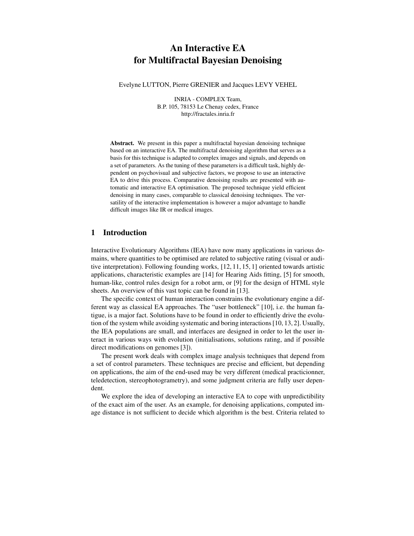# **An Interactive EA for Multifractal Bayesian Denoising**

Evelyne LUTTON, Pierre GRENIER and Jacques LEVY VEHEL

INRIA - COMPLEX Team, B.P. 105, 78153 Le Chenay cedex, France http://fractales.inria.fr

Abstract. We present in this paper a multifractal bayesian denoising technique based on an interactive EA. The multifractal denoising algorithm that serves as a basis for this technique is adapted to complex images and signals, and depends on a set of parameters. As the tuning of these parameters is a difficult task, highly dependent on psychovisual and subjective factors, we propose to use an interactive EA to drive this process. Comparative denoising results are presented with automatic and interactive EA optimisation. The proposed technique yield efficient denoising in many cases, comparable to classical denoising techniques. The versatility of the interactive implementation is however a major advantage to handle difficult images like IR or medical images.

### **1 Introduction**

Interactive Evolutionary Algorithms (IEA) have now many applications in various domains, where quantities to be optimised are related to subjective rating (visual or auditive interpretation). Following founding works, [12, 11, 15, 1] oriented towards artistic applications, characteristic examples are [14] for Hearing Aids fitting, [5] for smooth, human-like, control rules design for a robot arm, or [9] for the design of HTML style sheets. An overview of this vast topic can be found in [13].

The specific context of human interaction constrains the evolutionary engine a different way as classical EA approaches. The "user bottleneck" [10], i.e. the human fatigue, is a major fact. Solutions have to be found in order to efficiently drive the evolution of the system while avoiding systematic and boring interactions[10, 13, 2]. Usually, the IEA populations are small, and interfaces are designed in order to let the user interact in various ways with evolution (initialisations, solutions rating, and if possible direct modifications on genomes [3]).

The present work deals with complex image analysis techniques that depend from a set of control parameters. These techniques are precise and efficient, but depending on applications, the aim of the end-used may be very different (medical practicionner, teledetection, stereophotogrametry), and some judgment criteria are fully user dependent.

We explore the idea of developing an interactive EA to cope with unpredictibility of the exact aim of the user. As an example, for denoising applications, computed image distance is not sufficient to decide which algorithm is the best. Criteria related to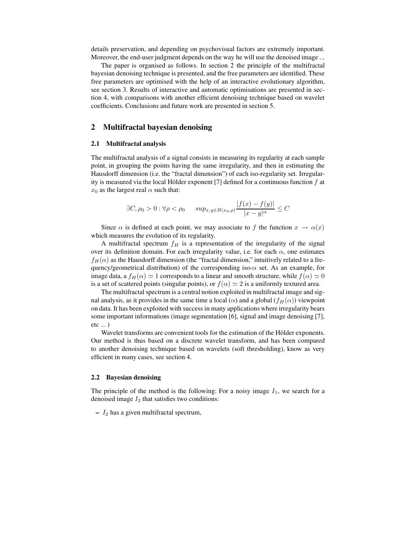details preservation, and depending on psychovisual factors are extremely important. Moreover, the end-user judgment depends on the way he will use the denoised image ...

The paper is organised as follows. In section 2 the principle of the multifractal bayesian denoising technique is presented, and the free parameters are identified. These free parameters are optimised with the help of an interactive evolutionary algorithm, see section 3. Results of interactive and automatic optimisations are presented in section 4, with comparisons with another efficient denoising technique based on wavelet coefficients. Conclusions and future work are presented in section 5.

### **2 Multifractal bayesian denoising**

#### **2.1 Multifractal analysis**

The multifractal analysis of a signal consists in measuring its regularity at each sample point, in grouping the points having the same irregularity, and then in estimating the Hausdorff dimension (i.e. the "fractal dimension") of each iso-regularity set. Irregularity is measured via the local Hölder exponent [7] defined for a continuous function  $f$  at  $x_0$  as the largest real  $\alpha$  such that:

$$
\exists C, \rho_0 > 0 : \forall \rho < \rho_0 \qquad \sup_{x, y \in B(x_0, \rho)} \frac{|f(x) - f(y)|}{|x - y|^{\alpha}} \le C
$$

Since  $\alpha$  is defined at each point, we may associate to f the function  $x \to \alpha(x)$ which measures the evolution of its regularity.

A multifractal spectrum  $f<sub>H</sub>$  is a representation of the irregularity of the signal over its definition domain. For each irregularity value, i.e. for each  $\alpha$ , one estimates  $f_H(\alpha)$  as the Hausdorff dimension (the "fractal dimension," intuitively related to a frequency/geometrical distribution) of the corresponding iso- $\alpha$  set. As an example, for image data, a  $f_H(\alpha) \simeq 1$  corresponds to a linear and smooth structure, while  $f(\alpha) \simeq 0$ is a set of scattered points (singular points), or  $f(\alpha) \simeq 2$  is a uniformly textured area.

The multifractal spectrum is a central notion exploited in multifractal image and signal analysis, as it provides in the same time a local ( $\alpha$ ) and a global ( $f_H(\alpha)$ ) viewpoint on data. It has been exploited with success in many applications where irregularity bears some important informations (image segmentation [6], signal and image denoising [7], etc ... )

Wavelet transforms are convenient tools for the estimation of the Hölder exponents. Our method is thus based on a discrete wavelet transform, and has been compared to another denoising technique based on wavelets (soft thresholding), know as very efficient in many cases, see section 4.

#### **2.2 Bayesian denoising**

The principle of the method is the following: For a noisy image  $I_1$ , we search for a denoised image  $I_2$  that satisfies two conditions:

**–** I<sup>2</sup> has a given multifractal spectrum,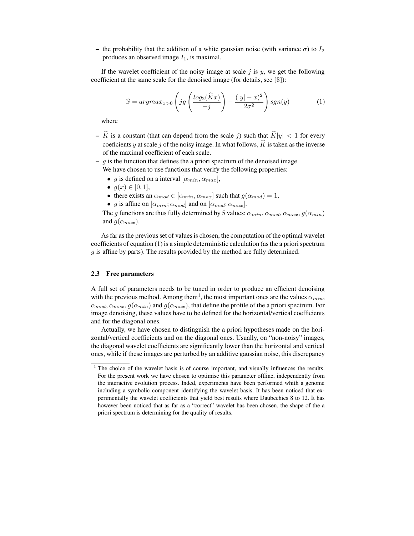– the probability that the addition of a white gaussian noise (with variance  $\sigma$ ) to  $I_2$ produces an observed image  $I_1$ , is maximal.

If the wavelet coefficient of the noisy image at scale  $j$  is  $y$ , we get the following coefficient at the same scale for the denoised image (for details, see [8]):

$$
\widehat{x} = argmax_{x>0} \left( jg \left( \frac{log_2(\widehat{K}x)}{-j} \right) - \frac{(|y|-x)^2}{2\sigma^2} \right) sgn(y) \tag{1}
$$

where

- **–**  $\hat{K}$  is a constant (that can depend from the scale j) such that  $\hat{K}|y| < 1$  for every coeficients y at scale j of the noisy image. In what follows,  $\hat{K}$  is taken as the inverse of the maximal coefficient of each scale.
- **–** g is the function that defines the a priori spectrum of the denoised image. We have chosen to use functions that verify the following properties:
	- g is defined on a interval  $[\alpha_{min}, \alpha_{max}]$ ,
	- $q(x) \in [0, 1]$ ,
	- there exists an  $\alpha_{mod} \in [\alpha_{min}, \alpha_{max}]$  such that  $g(\alpha_{mod}) = 1$ ,
	- g is affine on  $[\alpha_{min}; \alpha_{mod}]$  and on  $[\alpha_{mod}; \alpha_{max}]$ .

The g functions are thus fully determined by 5 values:  $\alpha_{min}$ ,  $\alpha_{mod}$ ,  $\alpha_{max}$ ,  $g(\alpha_{min})$ and  $g(\alpha_{max})$ .

As far as the previousset of valuesis chosen, the computation of the optimal wavelet coefficients of equation (1) is a simple deterministic calculation (as the a priorispectrum  $g$  is affine by parts). The results provided by the method are fully determined.

#### **2.3 Free parameters**

A full set of parameters needs to be tuned in order to produce an efficient denoising with the previous method. Among them<sup>1</sup>, the most important ones are the values  $\alpha_{min}$ ,  $\alpha_{mod}, \alpha_{max}, g(\alpha_{min})$  and  $g(\alpha_{max})$ , that define the profile of the a priori spectrum. For image denoising, these values have to be defined for the horizontal/vertical coefficients and for the diagonal ones.

Actually, we have chosen to distinguish the a priori hypotheses made on the horizontal/vertical coefficients and on the diagonal ones. Usually, on "non-noisy" images, the diagonal wavelet coefficients are significantly lower than the horizontal and vertical ones, while if these images are perturbed by an additive gaussian noise, this discrepancy

<sup>&</sup>lt;sup>1</sup> The choice of the wavelet basis is of course important, and visually influences the results. For the present work we have chosen to optimise this parameter offline, independently from the interactive evolution process. Inded, experiments have been performed whith a genome including a symbolic component identifying the wavelet basis. It has been noticed that experimentally the wavelet coefficients that yield best results where Daubechies 8 to 12. It has however been noticed that as far as a "correct" wavelet has been chosen, the shape of the a priori spectrum is determining for the quality of results.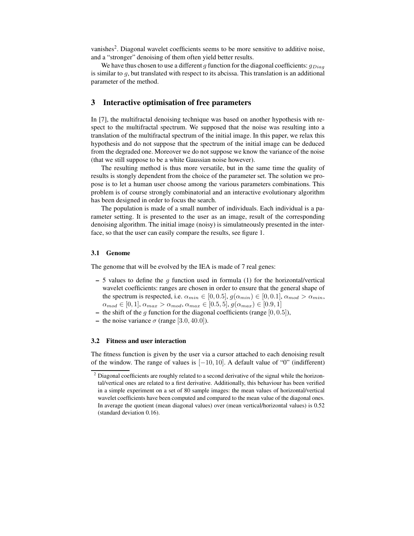vanishes<sup>2</sup>. Diagonal wavelet coefficients seems to be more sensitive to additive noise, and a "stronger" denoising of them often yield better results.

We have thus chosen to use a different g function for the diagonal coefficients:  $g_{Diaq}$ is similar to  $q$ , but translated with respect to its abcissa. This translation is an additional parameter of the method.

#### **3 Interactive optimisation of free parameters**

In [7], the multifractal denoising technique was based on another hypothesis with respect to the multifractal spectrum. We supposed that the noise was resulting into a translation of the multifractal spectrum of the initial image. In this paper, we relax this hypothesis and do not suppose that the spectrum of the initial image can be deduced from the degraded one. Moreover we do not suppose we know the variance of the noise (that we still suppose to be a white Gaussian noise however).

The resulting method is thus more versatile, but in the same time the quality of results is stongly dependent from the choice of the parameter set. The solution we propose is to let a human user choose among the various parameters combinations. This problem is of course strongly combinatorial and an interactive evolutionary algorithm has been designed in order to focus the search.

The population is made of a small number of individuals. Each individual is a parameter setting. It is presented to the user as an image, result of the corresponding denoising algorithm. The initial image (noisy) is simulatneously presented in the interface, so that the user can easily compare the results, see figure 1.

#### **3.1 Genome**

The genome that will be evolved by the IEA is made of 7 real genes:

- **–** 5 values to define the g function used in formula (1) for the horizontal/vertical wavelet coefficients: ranges are chosen in order to ensure that the general shape of the spectrum is respected, i.e.  $\alpha_{min} \in [0, 0.5], g(\alpha_{min}) \in [0, 0.1], \alpha_{mod} > \alpha_{min}$ ,  $\alpha_{mod} \in [0, 1], \alpha_{max} > \alpha_{mod}, \alpha_{max} \in [0.5, 5], g(\alpha_{max}) \in [0.9, 1]$
- **–** the shift of the g function for the diagonal coefficients (range [0, 0.5]),
- **–** the noise variance  $\sigma$  (range [3.0, 40.0]).

#### **3.2 Fitness and user interaction**

The fitness function is given by the user via a cursor attached to each denoising result of the window. The range of values is  $[-10, 10]$ . A default value of "0" (indifferent)

<sup>&</sup>lt;sup>2</sup> Diagonal coefficients are roughly related to a second derivative of the signal while the horizontal/vertical ones are related to a first derivative. Additionally, this behaviour has been verified in a simple experiment on a set of 80 sample images: the mean values of horizontal/vertical wavelet coefficients have been computed and compared to the mean value of the diagonal ones. In average the quotient (mean diagonal values) over (mean vertical/horizontal values) is 0.52 (standard deviation 0.16).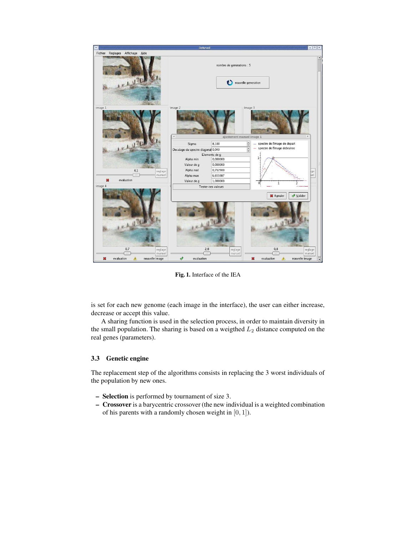

**Fig. 1.** Interface of the IEA

is set for each new genome (each image in the interface), the user can either increase, decrease or accept this value.

A sharing function is used in the selection process, in order to maintain diversity in the small population. The sharing is based on a weigthed  $L_2$  distance computed on the real genes (parameters).

#### **3.3 Genetic engine**

The replacement step of the algorithms consists in replacing the 3 worst individuals of the population by new ones.

- **– Selection** is performed by tournament of size 3.
- **– Crossover** is a barycentric crossover (the new individual is a weighted combination of his parents with a randomly chosen weight in  $[0, 1]$ ).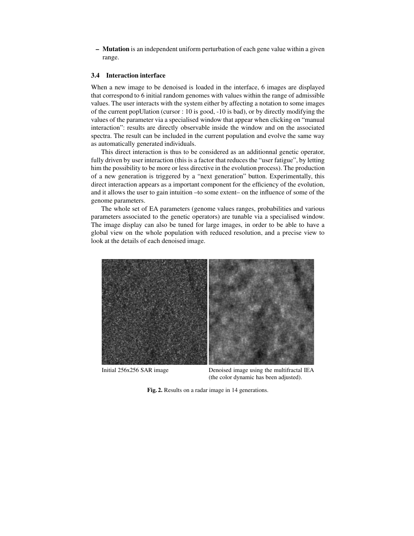**– Mutation** is an independent uniform perturbation of each gene value within a given range.

### **3.4 Interaction interface**

When a new image to be denoised is loaded in the interface, 6 images are displayed that correspond to 6 initial random genomes with values within the range of admissible values. The user interacts with the system either by affecting a notation to some images of the current popUlation (cursor : 10 is good, -10 is bad), or by directly modifying the values of the parameter via a specialised window that appear when clicking on "manual interaction": results are directly observable inside the window and on the associated spectra. The result can be included in the current population and evolve the same way as automatically generated individuals.

This direct interaction is thus to be considered as an additionnal genetic operator, fully driven by user interaction (this is a factor that reduces the "user fatigue", by letting him the possibility to be more or less directive in the evolution process). The production of a new generation is triggered by a "next generation" button. Experimentally, this direct interaction appears as a important component for the efficiency of the evolution, and it allows the user to gain intuition –to some extent– on the influence of some of the genome parameters.

The whole set of EA parameters (genome values ranges, probabilities and various parameters associated to the genetic operators) are tunable via a specialised window. The image display can also be tuned for large images, in order to be able to have a global view on the whole population with reduced resolution, and a precise view to look at the details of each denoised image.



Initial 256x256 SAR image Denoised image using the multifractal IEA (the color dynamic has been adjusted).

**Fig. 2.** Results on a radar image in 14 generations.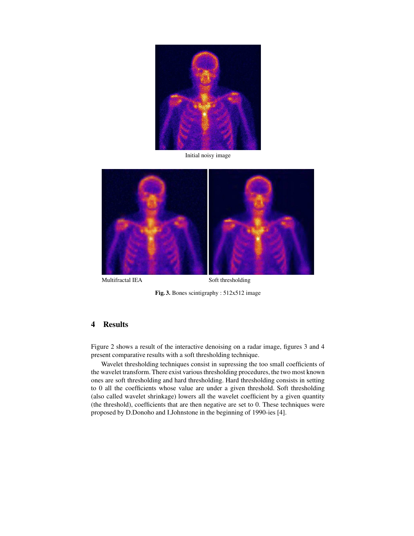

Initial noisy image



Multifractal IEA Soft thresholding

**Fig. 3.** Bones scintigraphy : 512x512 image

## **4 Results**

Figure 2 shows a result of the interactive denoising on a radar image, figures 3 and 4 present comparative results with a soft thresholding technique.

Wavelet thresholding techniques consist in supressing the too small coefficients of the wavelet transform. There exist various thresholding procedures, the two most known ones are soft thresholding and hard thresholding. Hard thresholding consists in setting to 0 all the coefficients whose value are under a given threshold. Soft thresholding (also called wavelet shrinkage) lowers all the wavelet coefficient by a given quantity (the threshold), coefficients that are then negative are set to 0. These techniques were proposed by D.Donoho and I.Johnstone in the beginning of 1990-ies [4].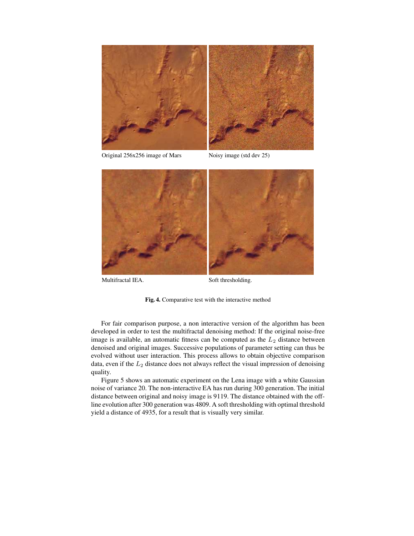

Original 256x256 image of Mars Noisy image (std dev 25)



Multifractal IEA. Soft thresholding.



For fair comparison purpose, a non interactive version of the algorithm has been developed in order to test the multifractal denoising method: If the original noise-free image is available, an automatic fitness can be computed as the  $L_2$  distance between denoised and original images. Successive populations of parameter setting can thus be evolved without user interaction. This process allows to obtain objective comparison data, even if the  $L_2$  distance does not always reflect the visual impression of denoising quality.

Figure 5 shows an automatic experiment on the Lena image with a white Gaussian noise of variance 20. The non-interactive EA has run during 300 generation. The initial distance between original and noisy image is 9119. The distance obtained with the offline evolution after 300 generation was 4809. A soft thresholding with optimal threshold yield a distance of 4935, for a result that is visually very similar.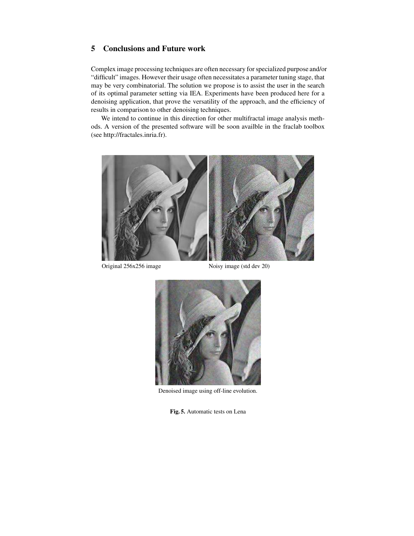# **5 Conclusions and Future work**

Complex image processing techniques are often necessary forspecialized purpose and/or "difficult" images. However their usage often necessitates a parameter tuning stage, that may be very combinatorial. The solution we propose is to assist the user in the search of its optimal parameter setting via IEA. Experiments have been produced here for a denoising application, that prove the versatility of the approach, and the efficiency of results in comparison to other denoising techniques.

We intend to continue in this direction for other multifractal image analysis methods. A version of the presented software will be soon availble in the fraclab toolbox (see http://fractales.inria.fr).



Original 256x256 image Noisy image (std dev 20)



Denoised image using off-line evolution.

**Fig. 5.** Automatic tests on Lena